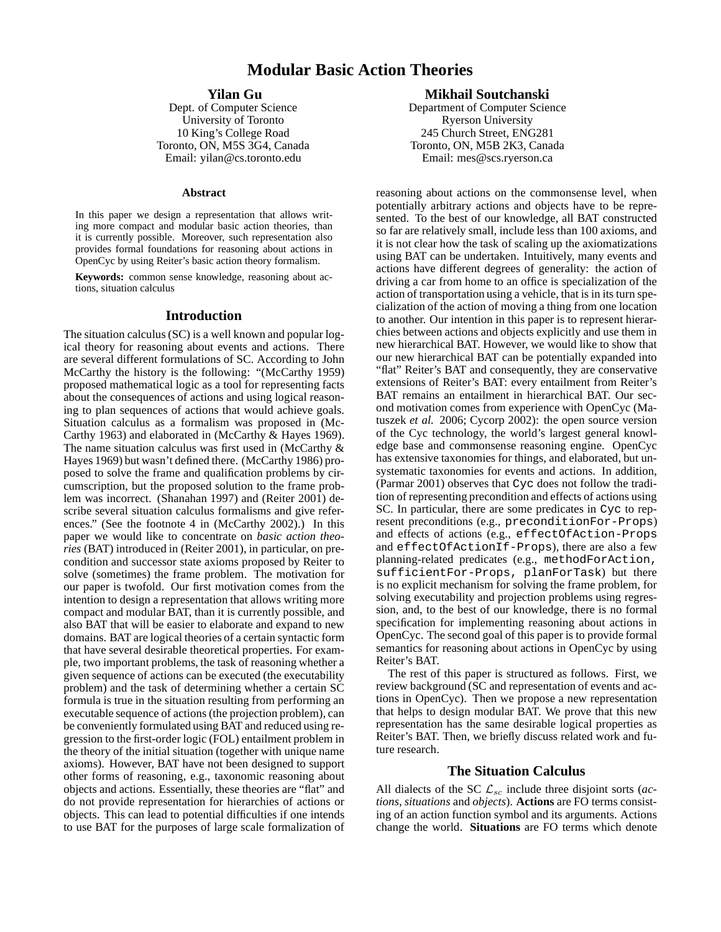# **Modular Basic Action Theories**

## **Yilan Gu**

Dept. of Computer Science University of Toronto 10 King's College Road Toronto, ON, M5S 3G4, Canada Email: yilan@cs.toronto.edu

#### **Abstract**

In this paper we design a representation that allows writing more compact and modular basic action theories, than it is currently possible. Moreover, such representation also provides formal foundations for reasoning about actions in OpenCyc by using Reiter's basic action theory formalism.

**Keywords:** common sense knowledge, reasoning about actions, situation calculus

## **Introduction**

The situation calculus (SC) is a well known and popular logical theory for reasoning about events and actions. There are several different formulations of SC. According to John McCarthy the history is the following: "(McCarthy 1959) proposed mathematical logic as a tool for representing facts about the consequences of actions and using logical reasoning to plan sequences of actions that would achieve goals. Situation calculus as a formalism was proposed in (Mc-Carthy 1963) and elaborated in (McCarthy & Hayes 1969). The name situation calculus was first used in (McCarthy  $\&$ Hayes 1969) but wasn't defined there. (McCarthy 1986) proposed to solve the frame and qualification problems by circumscription, but the proposed solution to the frame problem was incorrect. (Shanahan 1997) and (Reiter 2001) describe several situation calculus formalisms and give references." (See the footnote 4 in (McCarthy 2002).) In this paper we would like to concentrate on *basic action theories* (BAT) introduced in (Reiter 2001), in particular, on precondition and successor state axioms proposed by Reiter to solve (sometimes) the frame problem. The motivation for our paper is twofold. Our first motivation comes from the intention to design a representation that allows writing more compact and modular BAT, than it is currently possible, and also BAT that will be easier to elaborate and expand to new domains. BAT are logical theories of a certain syntactic form that have several desirable theoretical properties. For example, two important problems, the task of reasoning whether a given sequence of actions can be executed (the executability problem) and the task of determining whether a certain SC formula is true in the situation resulting from performing an executable sequence of actions (the projection problem), can be conveniently formulated using BAT and reduced using regression to the first-order logic (FOL) entailment problem in the theory of the initial situation (together with unique name axioms). However, BAT have not been designed to support other forms of reasoning, e.g., taxonomic reasoning about objects and actions. Essentially, these theories are "flat" and do not provide representation for hierarchies of actions or objects. This can lead to potential difficulties if one intends to use BAT for the purposes of large scale formalization of

## **Mikhail Soutchanski**

Department of Computer Science Ryerson University 245 Church Street, ENG281 Toronto, ON, M5B 2K3, Canada Email: mes@scs.ryerson.ca

reasoning about actions on the commonsense level, when potentially arbitrary actions and objects have to be represented. To the best of our knowledge, all BAT constructed so far are relatively small, include less than 100 axioms, and it is not clear how the task of scaling up the axiomatizations using BAT can be undertaken. Intuitively, many events and actions have different degrees of generality: the action of driving a car from home to an office is specialization of the action of transportation using a vehicle, that is in its turn specialization of the action of moving a thing from one location to another. Our intention in this paper is to represent hierarchies between actions and objects explicitly and use them in new hierarchical BAT. However, we would like to show that our new hierarchical BAT can be potentially expanded into "flat" Reiter's BAT and consequently, they are conservative extensions of Reiter's BAT: every entailment from Reiter's BAT remains an entailment in hierarchical BAT. Our second motivation comes from experience with OpenCyc (Matuszek *et al.* 2006; Cycorp 2002): the open source version of the Cyc technology, the world's largest general knowledge base and commonsense reasoning engine. OpenCyc has extensive taxonomies for things, and elaborated, but unsystematic taxonomies for events and actions. In addition, (Parmar 2001) observes that Cyc does not follow the tradition of representing precondition and effects of actions using SC. In particular, there are some predicates in Cyc to represent preconditions (e.g., preconditionFor-Props) and effects of actions (e.g., effectOfAction-Props and effectOfActionIf-Props), there are also a few planning-related predicates (e.g., methodForAction, sufficientFor-Props, planForTask) but there is no explicit mechanism for solving the frame problem, for solving executability and projection problems using regression, and, to the best of our knowledge, there is no formal specification for implementing reasoning about actions in OpenCyc. The second goal of this paper is to provide formal semantics for reasoning about actions in OpenCyc by using Reiter's BAT.

The rest of this paper is structured as follows. First, we review background (SC and representation of events and actions in OpenCyc). Then we propose a new representation that helps to design modular BAT. We prove that this new representation has the same desirable logical properties as Reiter's BAT. Then, we briefly discuss related work and future research.

## **The Situation Calculus**

All dialects of the SC  $\mathcal{L}_{sc}$  include three disjoint sorts (*actions*, *situations* and *objects*). **Actions** are FO terms consisting of an action function symbol and its arguments. Actions change the world. **Situations** are FO terms which denote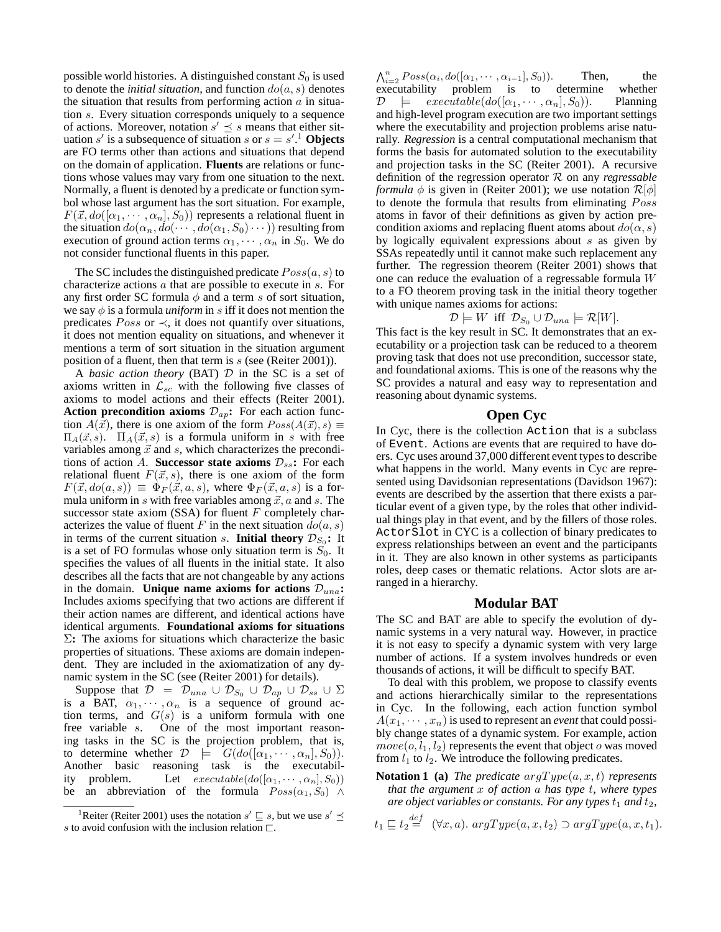possible world histories. A distinguished constant  $S_0$  is used to denote the *initial situation*, and function  $do(a, s)$  denotes the situation that results from performing action  $\alpha$  in situation s. Every situation corresponds uniquely to a sequence of actions. Moreover, notation  $s' \preceq s$  means that either situation  $s'$  is a subsequence of situation s or  $s = s'$ .<sup>1</sup> Objects are FO terms other than actions and situations that depend on the domain of application. **Fluents** are relations or functions whose values may vary from one situation to the next. Normally, a fluent is denoted by a predicate or function symbol whose last argument has the sort situation. For example,  $F(\vec{x}, do([\alpha_1, \cdots, \alpha_n], S_0))$  represents a relational fluent in the situation  $do(\alpha_n, do(\cdots, do(\alpha_1, S_0) \cdots))$  resulting from execution of ground action terms  $\alpha_1, \cdots, \alpha_n$  in  $S_0$ . We do not consider functional fluents in this paper.

The SC includes the distinguished predicate  $Poss(a, s)$  to characterize actions a that are possible to execute in s. For any first order SC formula  $\phi$  and a term s of sort situation, we say  $\phi$  is a formula *uniform* in s iff it does not mention the predicates  $Poss$  or  $\prec$ , it does not quantify over situations, it does not mention equality on situations, and whenever it mentions a term of sort situation in the situation argument position of a fluent, then that term is  $s$  (see (Reiter 2001)).

A *basic action theory* (BAT) D in the SC is a set of axioms written in  $\mathcal{L}_{sc}$  with the following five classes of axioms to model actions and their effects (Reiter 2001). **Action precondition axioms**  $\mathcal{D}_{ap}$ **:** For each action function  $A(\vec{x})$ , there is one axiom of the form  $Poss(A(\vec{x}), s) \equiv$  $\Pi_A(\vec{x}, s)$ .  $\Pi_A(\vec{x}, s)$  is a formula uniform in s with free variables among  $\vec{x}$  and s, which characterizes the preconditions of action A. **Successor state axioms**  $\mathcal{D}_{ss}$ : For each relational fluent  $F(\vec{x}, s)$ , there is one axiom of the form  $F(\vec{x}, do(a, s)) \equiv \Phi_F(\vec{x}, a, s)$ , where  $\Phi_F(\vec{x}, a, s)$  is a formula uniform in s with free variables among  $\vec{x}$ , a and s. The successor state axiom  $(SSA)$  for fluent F completely characterizes the value of fluent F in the next situation  $do(a, s)$ in terms of the current situation s. **Initial theory**  $\mathcal{D}_{S_0}$ : It is a set of FO formulas whose only situation term is  $S_0$ . It specifies the values of all fluents in the initial state. It also describes all the facts that are not changeable by any actions in the domain. **Unique name axioms for actions**  $\mathcal{D}_{una}$ : Includes axioms specifying that two actions are different if their action names are different, and identical actions have identical arguments. **Foundational axioms for situations** Σ**:** The axioms for situations which characterize the basic properties of situations. These axioms are domain independent. They are included in the axiomatization of any dynamic system in the SC (see (Reiter 2001) for details).

Suppose that  $\mathcal{D} = \mathcal{D}_{una} \cup \mathcal{D}_{S_0} \cup \mathcal{D}_{ap} \cup \mathcal{D}_{ss} \cup \Sigma$ is a BAT,  $\alpha_1, \cdots, \alpha_n$  is a sequence of ground action terms, and  $G(s)$  is a uniform formula with one free variable s. One of the most important reason-One of the most important reasoning tasks in the SC is the projection problem, that is, to determine whether  $\mathcal{D} \models G(do([\alpha_1, \cdots, \alpha_n], S_0)).$ Another basic reasoning task is the executability problem. Let  $execute(do([\alpha_1, \cdots, \alpha_n], S_0))$ be an abbreviation of the formula  $Poss(\alpha_1, S_0) \wedge$ 

 $\bigwedge_{i=2}^{n} Poss(\alpha_i, do([\alpha_1, \cdots, \alpha_{i-1}], S_0)).$  Then, the executability problem is to determine whether  $\mathcal{D} \models \text{execute}(do([\alpha_1, \cdots, \alpha_n], S_0)).$  Planning and high-level program execution are two important settings where the executability and projection problems arise naturally. *Regression* is a central computational mechanism that forms the basis for automated solution to the executability and projection tasks in the SC (Reiter 2001). A recursive definition of the regression operator R on any *regressable formula*  $\phi$  is given in (Reiter 2001); we use notation  $\mathcal{R}[\phi]$ to denote the formula that results from eliminating Poss atoms in favor of their definitions as given by action precondition axioms and replacing fluent atoms about  $do(\alpha, s)$ by logically equivalent expressions about s as given by SSAs repeatedly until it cannot make such replacement any further. The regression theorem (Reiter 2001) shows that one can reduce the evaluation of a regressable formula W to a FO theorem proving task in the initial theory together with unique names axioms for actions:

#### $\mathcal{D} \models W$  iff  $\mathcal{D}_{S_0} \cup \mathcal{D}_{una} \models \mathcal{R}[W].$

This fact is the key result in SC. It demonstrates that an executability or a projection task can be reduced to a theorem proving task that does not use precondition, successor state, and foundational axioms. This is one of the reasons why the SC provides a natural and easy way to representation and reasoning about dynamic systems.

## **Open Cyc**

In Cyc, there is the collection Action that is a subclass of Event. Actions are events that are required to have doers. Cyc uses around 37,000 different event types to describe what happens in the world. Many events in Cyc are represented using Davidsonian representations (Davidson 1967): events are described by the assertion that there exists a particular event of a given type, by the roles that other individual things play in that event, and by the fillers of those roles. ActorSlot in CYC is a collection of binary predicates to express relationships between an event and the participants in it. They are also known in other systems as participants roles, deep cases or thematic relations. Actor slots are arranged in a hierarchy.

# **Modular BAT**

The SC and BAT are able to specify the evolution of dynamic systems in a very natural way. However, in practice it is not easy to specify a dynamic system with very large number of actions. If a system involves hundreds or even thousands of actions, it will be difficult to specify BAT.

To deal with this problem, we propose to classify events and actions hierarchically similar to the representations in Cyc. In the following, each action function symbol  $A(x_1, \dots, x_n)$  is used to represent an *event* that could possibly change states of a dynamic system. For example, action  $move(o, l_1, l_2)$  represents the event that object o was moved from  $l_1$  to  $l_2$ . We introduce the following predicates.

**Notation 1 (a)** *The predicate* argType(a, x, t) *represents that the argument* x *of action* a *has type* t*, where types are object variables or constants. For any types*  $t_1$  *and*  $t_2$ *,* 

$$
t_1 \sqsubseteq t_2 \stackrel{def}{=} (\forall x, a). argType(a, x, t_2) \supset argType(a, x, t_1).
$$

<sup>&</sup>lt;sup>1</sup>Reiter (Reiter 2001) uses the notation  $s' \sqsubseteq s$ , but we use  $s' \preceq$ s to avoid confusion with the inclusion relation  $\Box$ .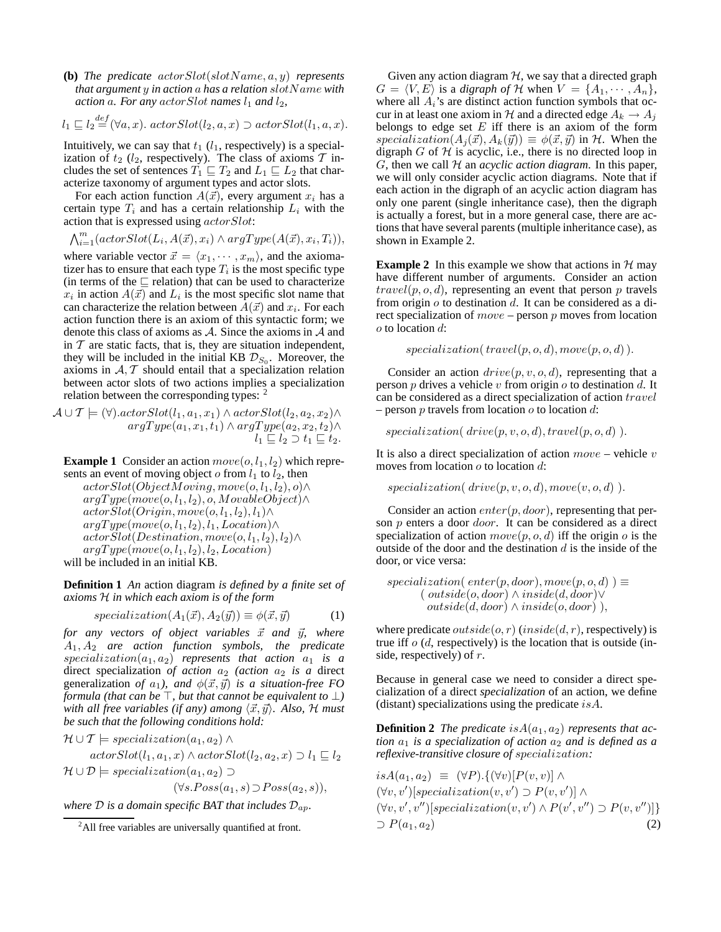**(b)** *The predicate* actorSlot(slotName, a, y) *represents that argument* y *in action* a *has a relation* slotName *with action* a. For any  $actorSlot$  *names*  $l_1$  *and*  $l_2$ *,* 

$$
l_1 \sqsubseteq l_2 \stackrel{def}{=} (\forall a, x).
$$
  $actorSlot(l_2, a, x) \supset actorSlot(l_1, a, x).$ 

Intuitively, we can say that  $t_1$  ( $l_1$ , respectively) is a specialization of  $t_2$  ( $l_2$ , respectively). The class of axioms  $\mathcal T$  includes the set of sentences  $T_1 \sqsubseteq T_2$  and  $L_1 \sqsubseteq L_2$  that characterize taxonomy of argument types and actor slots.

For each action function  $A(\vec{x})$ , every argument  $x_i$  has a certain type  $T_i$  and has a certain relationship  $L_i$  with the action that is expressed using actorSlot:

$$
\bigwedge_{i=1}^{m} (actorSlot(L_i, A(\vec{x}), x_i) \land argType(A(\vec{x}), x_i, T_i)),
$$

where variable vector  $\vec{x} = \langle x_1, \dots, x_m \rangle$ , and the axiomatizer has to ensure that each type  $T_i$  is the most specific type (in terms of the  $\sqsubseteq$  relation) that can be used to characterize  $x_i$  in action  $A(\vec{x})$  and  $L_i$  is the most specific slot name that can characterize the relation between  $A(\vec{x})$  and  $x_i$ . For each action function there is an axiom of this syntactic form; we denote this class of axioms as A. Since the axioms in A and in  $T$  are static facts, that is, they are situation independent, they will be included in the initial KB  $\mathcal{D}_{S_0}$ . Moreover, the axioms in  $A, T$  should entail that a specialization relation between actor slots of two actions implies a specialization relation between the corresponding types: <sup>2</sup>

$$
\mathcal{A} \cup \mathcal{T} \models (\forall).actorSlot(l_1, a_1, x_1) \land actorSlot(l_2, a_2, x_2) \land \\\argType(a_1, x_1, t_1) \land argType(a_2, x_2, t_2) \land \\\quad l_1 \subseteq l_2 \supset t_1 \subseteq t_2.
$$

**Example 1** Consider an action  $move(o, l_1, l_2)$  which represents an event of moving object  $o$  from  $l_1$  to  $l_2$ , then

 $actorSlot(ObjectMoving, move(o, l_1, l_2), o) \wedge$  $argType(move(o, l_1, l_2), o, MovableObject) \wedge$  $actorSlot(Origin, move(o, l_1, l_2), l_1) \wedge$  $argType(move(o, l_1, l_2), l_1, Location) \wedge$  $actorSlot(Destination, move(o, l_1, l_2), l_2) \wedge$  $argType(move(o, l_1, l_2), l_2, Location)$ 

will be included in an initial KB.

**Definition 1** *An* action diagram *is defined by a finite set of axioms* H *in which each axiom is of the form*

$$
specialization(A_1(\vec{x}), A_2(\vec{y})) \equiv \phi(\vec{x}, \vec{y}) \tag{1}
$$

*for any vectors of object variables*  $\vec{x}$  *and*  $\vec{y}$ *, where* A1, A<sup>2</sup> *are action function symbols, the predicate*  $specialization(a_1, a_2)$  *represents that action*  $a_1$  *is a* direct specialization of action  $a_2$  (action  $a_2$  is a direct generalization *of*  $a_1$ *), and*  $\phi(\vec{x}, \vec{y})$  *is a situation-free FO formula (that can be* ⊤*, but that cannot be equivalent to* ⊥*) with all free variables (if any) among*  $\langle \vec{x}, \vec{y} \rangle$ *. Also,* H *must be such that the following conditions hold:*

$$
\mathcal{H} \cup \mathcal{T} \models specialization(a_1, a_2) \land
$$
  
actorSlot(l<sub>1</sub>, a<sub>1</sub>, x)  $\land$  actorSlot(l<sub>2</sub>, a<sub>2</sub>, x)  $\supset l_1 \sqsubseteq l_2$   

$$
\mathcal{H} \cup \mathcal{D} \models specialization(a_1, a_2) \supset
$$

 $(\forall s. Poss(a_1, s) \supset Poss(a_2, s)),$ 

*where*  $D$  *is a domain specific BAT that includes*  $D_{ap}$ *.* 

Given any action diagram  $H$ , we say that a directed graph  $G = \langle V, E \rangle$  is a *digraph of* H when  $V = \{A_1, \dots, A_n\},\$ where all  $A_i$ 's are distinct action function symbols that occur in at least one axiom in H and a directed edge  $A_k \rightarrow A_j$ belongs to edge set  $E$  iff there is an axiom of the form specialization( $A_i(\vec{x}), A_k(\vec{y}) \equiv \phi(\vec{x}, \vec{y})$  in H. When the digraph  $G$  of  $H$  is acyclic, i.e., there is no directed loop in G, then we call  $H$  an *acyclic action diagram*. In this paper, we will only consider acyclic action diagrams. Note that if each action in the digraph of an acyclic action diagram has only one parent (single inheritance case), then the digraph is actually a forest, but in a more general case, there are actions that have several parents (multiple inheritance case), as shown in Example 2.

**Example 2** In this example we show that actions in  $H$  may have different number of arguments. Consider an action  $travel(p, o, d)$ , representing an event that person p travels from origin  $o$  to destination  $d$ . It can be considered as a direct specialization of  $move$  – person  $p$  moves from location o to location d:

 $specialization(truel(p, o, d), move(p, o, d)$ .

Consider an action  $drive(p, v, o, d)$ , representing that a person p drives a vehicle v from origin  $\sigma$  to destination d. It can be considered as a direct specialization of action travel – person p travels from location  $\sigma$  to location  $d$ :

$$
specialization( drive(p, v, o, d), travel(p, o, d)).
$$

It is also a direct specialization of action  $move$  – vehicle  $v$ moves from location  $\sigma$  to location  $d$ :

```
specialization( drive(p, v, o, d), move(v, o, d).
```
Consider an action  $enter(p, door)$ , representing that person  $p$  enters a door *door*. It can be considered as a direct specialization of action  $move(p, o, d)$  iff the origin o is the outside of the door and the destination  $d$  is the inside of the door, or vice versa:

$$
specialization(\,enter(p, door), move(p, o, d) \,) \equiv \n(\,outside(o, door) \land inside(d, door) \lor \noutside(d, door) \land inside(o, door) \,),
$$

where predicate *outside*(*o, r*) (*inside*(*d, r*), respectively) is true iff  $o(d,$  respectively) is the location that is outside (inside, respectively) of  $r$ .

Because in general case we need to consider a direct specialization of a direct *specialization* of an action, we define (distant) specializations using the predicate  $isA$ .

**Definition 2** *The predicate* is  $A(a_1, a_2)$  *represents that action*  $a_1$  *is a specialization of action*  $a_2$  *and is defined as a reflexive-transitive closure of* specialization*:*

 $isA(a_1, a_2) \equiv (\forall P) . \{(\forall v)[P(v, v)] \wedge$  $(\forall v, v')$ [specialization $(v, v') \supset P(v, v')$ ]  $\wedge$  $(\forall v, v', v'')$ [specialization $(v, v') \wedge P(v', v'') \supset P(v, v'')]$ }  $D P(a_1, a_2)$  (2)

 $^{2}$ All free variables are universally quantified at front.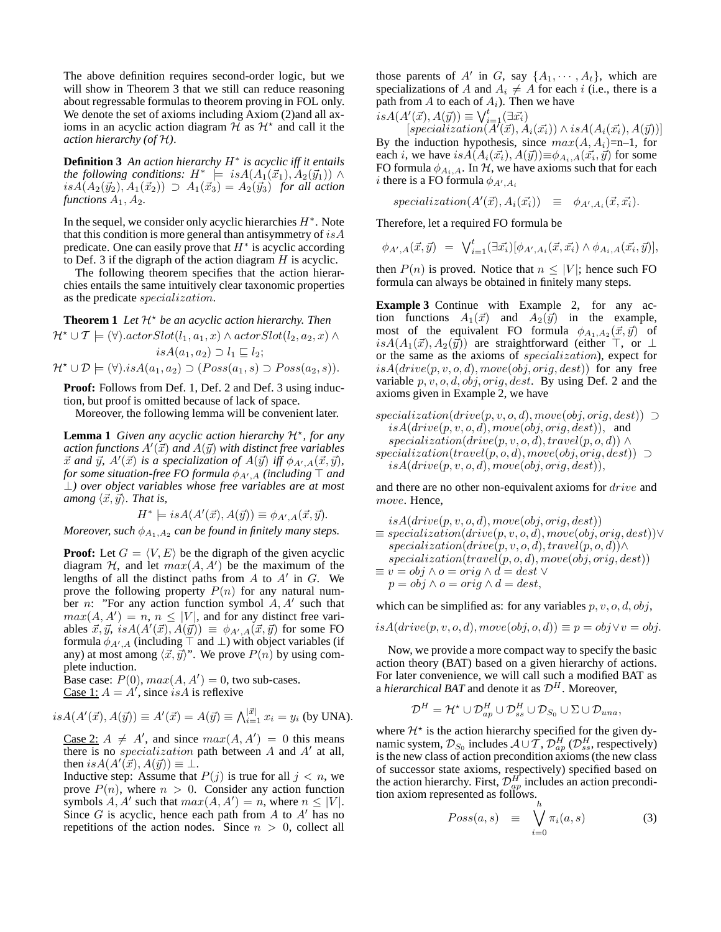The above definition requires second-order logic, but we will show in Theorem 3 that we still can reduce reasoning about regressable formulas to theorem proving in FOL only. We denote the set of axioms including Axiom (2)and all axioms in an acyclic action diagram  $\tilde{H}$  as  $\mathcal{H}^*$  and call it the *action hierarchy (of* H*)*.

**Definition 3** *An action hierarchy* H<sup>∗</sup> *is acyclic iff it entails the following conditions:*  $H^*$   $\models$   $isA(A_1(\vec{x}_1), A_2(\vec{y}_1))$  ∧  $isA(A_2(\vec{y}_2), A_1(\vec{x}_2)) \supset A_1(\vec{x}_3) = A_2(\vec{y}_3)$  *for all action functions*  $A_1, A_2$ *.* 

In the sequel, we consider only acyclic hierarchies  $H^*$ . Note that this condition is more general than antisymmetry of  $isA$ predicate. One can easily prove that  $H^*$  is acyclic according to Def. 3 if the digraph of the action diagram  $H$  is acyclic.

The following theorem specifies that the action hierarchies entails the same intuitively clear taxonomic properties as the predicate specialization.

**Theorem 1** Let  $\mathcal{H}^*$  be an acyclic action hierarchy. Then  $\mathcal{H}^{\star} \cup \mathcal{T} \models (\forall).actorSlot(l_1, a_1, x) \land actorSlot(l_2, a_2, x) \land$  $isA(a_1, a_2) \supset l_1 \sqsubset l_2;$  $\mathcal{H}^{\star} \cup \mathcal{D} \models (\forall).isA(a_1,a_2) \supset (Poss(a_1,s) \supset Poss(a_2,s)).$ 

**Proof:** Follows from Def. 1, Def. 2 and Def. 3 using induction, but proof is omitted because of lack of space.

Moreover, the following lemma will be convenient later.

Lemma 1 *Given any acyclic action hierarchy*  $H^*$ *, for any*  $a$ ction functions  $A'(\vec{x})$  and  $A(\vec{y})$  with distinct free variables  $\vec{x}$  and  $\vec{y}$ ,  $A'(\vec{x})$  is a specialization of  $A(\vec{y})$  iff  $\phi_{A',A}(\vec{x},\vec{y})$ , for some situation-free FO formula  $\phi_{A',A}$  (including  $\top$  and ⊥*) over object variables whose free variables are at most among*  $\langle \vec{x}, \vec{y} \rangle$ *. That is,* 

$$
H^* \models isA(A'(\vec{x}), A(\vec{y})) \equiv \phi_{A',A}(\vec{x}, \vec{y}).
$$

*Moreover, such*  $\phi_{A_1,A_2}$  *can be found in finitely many steps.* 

**Proof:** Let  $G = \langle V, E \rangle$  be the digraph of the given acyclic diagram  $H$ , and let  $max(A, A')$  be the maximum of the lengths of all the distinct paths from  $A$  to  $A'$  in  $G$ . We prove the following property  $P(n)$  for any natural number *n*: "For any action function symbol  $A, A'$  such that  $max(A, A') = n, n \leq |V|$ , and for any distinct free variables  $\vec{x}, \vec{y}, i s A(A'(\vec{x}), A(\vec{y})) \equiv \phi_{A',A}(\vec{x}, \vec{y})$  for some FO formula  $\phi_{A',A}$  (including  $\top$  and  $\bot$ ) with object variables (if any) at most among  $\langle \vec{x}, \vec{y} \rangle$ ". We prove  $P(n)$  by using complete induction.

Base case:  $P(0)$ ,  $max(A, A') = 0$ , two sub-cases. Case 1:  $A = A'$ , since *is A* is reflexive

$$
isA(A'(\vec{x}), A(\vec{y})) \equiv A'(\vec{x}) = A(\vec{y}) \equiv \bigwedge_{i=1}^{|\vec{x}|} x_i = y_i \text{ (by UNA)}.
$$

Case 2:  $A \neq A'$ , and since  $max(A, A') = 0$  this means there is no *specialization* path between  $A$  and  $A'$  at all, then  $isA(A'(\vec{x}), A(\vec{y})) \equiv \bot$ .

Inductive step: Assume that  $P(j)$  is true for all  $j < n$ , we prove  $P(n)$ , where  $n > 0$ . Consider any action function symbols  $A, A'$  such that  $max(A, A') = n$ , where  $n \leq |V|$ . Since  $G$  is acyclic, hence each path from  $A$  to  $A'$  has no repetitions of the action nodes. Since  $n > 0$ , collect all

those parents of A' in G, say  $\{A_1, \dots, A_t\}$ , which are specializations of A and  $A_i \neq A$  for each i (i.e., there is a path from A to each of  $A_i$ ). Then we have

$$
isA(A'(\vec{x}), A(\vec{y})) \equiv \bigvee_{i=1}^{t} (\exists \vec{x_i})
$$
  
[specialization  $(\vec{A}'(\vec{x}), A_i)$ 

 $[specialization(\overline{A}^t(\vec{x}), \overline{A}_i(\vec{x_i})) \wedge isA(A_i(\vec{x_i}), A(\vec{y}))]$ By the induction hypothesis, since  $max(A, A_i)=n-1$ , for each *i*, we have  $isA(A_i(\vec{x_i}), A(\vec{y})) \equiv \phi_{A_i, A}(\vec{x_i}, \vec{y})$  for some FO formula  $\phi_{A_i,A}$ . In  $H$ , we have axioms such that for each *i* there is a FO formula  $\phi_{A',A_i}$ 

$$
specialization(A'(\vec{x}), A_i(\vec{x_i})) \equiv \phi_{A',A_i}(\vec{x}, \vec{x_i}).
$$

Therefore, let a required FO formula be

$$
\phi_{A',A}(\vec{x}, \vec{y}) = \bigvee_{i=1}^{t} (\exists \vec{x_i}) [\phi_{A',A_i}(\vec{x}, \vec{x_i}) \wedge \phi_{A_i,A}(\vec{x_i}, \vec{y})],
$$

then  $P(n)$  is proved. Notice that  $n \leq |V|$ ; hence such FO formula can always be obtained in finitely many steps.

**Example 3** Continue with Example 2, for any action functions  $A_1(\vec{x})$  and  $A_2(\vec{y})$  in the example, most of the equivalent FO formula  $\phi_{A_1,A_2}(\vec{x}, \vec{y})$  of  $isA(A_1(\vec{x}), A_2(\vec{y}))$  are straightforward (either ⊤, or ⊥ or the same as the axioms of specialization), expect for  $isA(drive(p, v, o, d), move(obj, orig, dest))$  for any free variable  $p, v, o, d, obj, orig, dest.$  By using Def. 2 and the axioms given in Example 2, we have

 $specialization(drive(p, v, o, d), move(obj, orig, dest)) \supset$  $isA(drive(p, v, o, d), move(obj, orig, dest)),$  and  $specialization(drive(p, v, o, d), travel(p, o, d)) \wedge$  $specialization(truel(p, o, d), move(obj, orig, dest)) \supset$  $isA(drive(p, v, o, d), move(obj, orig, dest)),$ 

and there are no other non-equivalent axioms for drive and move. Hence,

$$
is A(drive(p, v, o, d), move(obj, orig, dest))
$$
  
\n
$$
\equiv specialization(drive(p, v, o, d), move(obj, orig, dest)) \vee
$$
  
\n
$$
specialization(drive(p, v, o, d), travel(p, o, d)) \wedge
$$
  
\n
$$
specialization(travel(p, o, d), move(obj, orig, dest))
$$
  
\n
$$
\equiv v = obj \wedge o = orig \wedge d = dest \vee
$$
  
\n
$$
p = obj \wedge o = orig \wedge d = dest,
$$

which can be simplified as: for any variables  $p, v, o, d, obj$ ,

$$
is A(drive(p, v, o, d), move(obj, o, d)) \equiv p = obj \lor v = obj.
$$

Now, we provide a more compact way to specify the basic action theory (BAT) based on a given hierarchy of actions. For later convenience, we will call such a modified BAT as a *hierarchical BAT* and denote it as  $\mathcal{D}^H$ . Moreover,

$$
\mathcal{D}^H = \mathcal{H}^\star \cup \mathcal{D}_{ap}^H \cup \mathcal{D}_{ss}^H \cup \mathcal{D}_{S_0} \cup \Sigma \cup \mathcal{D}_{una},
$$

where  $\mathcal{H}^*$  is the action hierarchy specified for the given dynamic system,  $\mathcal{D}_{S_0}$  includes  $\mathcal{A} \cup \mathcal{T}$ ,  $\mathcal{D}_{ap}^H$  ( $\mathcal{D}_{ss}^H$ , respectively) is the new class of action precondition axioms (the new class of successor state axioms, respectively) specified based on the action hierarchy. First,  $\mathcal{D}_{ap}^H$  includes an action precondition axiom represented as follows.

$$
Poss(a, s) \equiv \bigvee_{i=0}^{n} \pi_i(a, s) \tag{3}
$$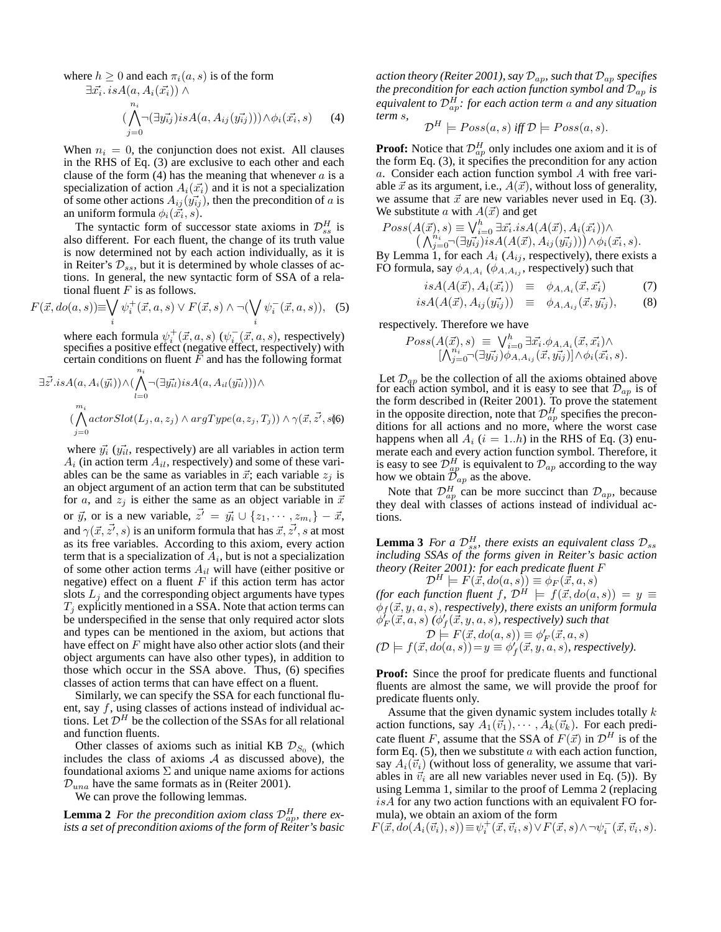where  $h \geq 0$  and each  $\pi_i(a, s)$  is of the form

$$
\exists \vec{x_i} \ldotp is A(a, A_i(\vec{x_i})) \land \n(\bigwedge_{j=0}^{n_i} \neg(\exists \vec{y_{ij}}) is A(a, A_{ij}(\vec{y_{ij}}))) \land \phi_i(\vec{x_i}, s)
$$

 $(4)$ 

When  $n_i = 0$ , the conjunction does not exist. All clauses in the RHS of Eq. (3) are exclusive to each other and each clause of the form  $(4)$  has the meaning that whenever a is a specialization of action  $A_i(\vec{x_i})$  and it is not a specialization of some other actions  $A_{ij}(\vec{y_{ij}})$ , then the precondition of a is an uniform formula  $\phi_i(\vec{x_i}, s)$ .

The syntactic form of successor state axioms in  $\mathcal{D}_{ss}^H$  is also different. For each fluent, the change of its truth value is now determined not by each action individually, as it is in Reiter's  $\mathcal{D}_{ss}$ , but it is determined by whole classes of actions. In general, the new syntactic form of SSA of a relational fluent  $F$  is as follows.

$$
F(\vec{x}, do(a, s)) \equiv \bigvee_i \psi_i^+(\vec{x}, a, s) \lor F(\vec{x}, s) \land \neg(\bigvee_i \psi_i^-(\vec{x}, a, s)), \quad (5)
$$

where each formula  $\psi_i^+(\vec{x}, a, s)$  ( $\psi_i^-(\vec{x}, a, s)$ , respectively) specifies a positive effect (negative effect, respectively) with certain conditions on fluent  $\bar{F}$  and has the following format

$$
\exists \vec{z'}. is A(a, A_i(\vec{y_i})) \land (\bigwedge_{l=0}^{n_i} \neg (\exists \vec{y_{il}}) is A(a, A_{il}(\vec{y_{il}}))) \land \n\qquad \qquad (\bigwedge_{j=0}^{m_i} actorslot(L_j, a, z_j) \land argType(a, z_j, T_j)) \land \gamma(\vec{x}, \vec{z'}, s)
$$

where  $\vec{y}_i$  ( $\vec{y}_{il}$ , respectively) are all variables in action term  $A_i$  (in action term  $A_{il}$ , respectively) and some of these variables can be the same as variables in  $\vec{x}$ ; each variable  $z_i$  is an object argument of an action term that can be substituted for a, and  $z_j$  is either the same as an object variable in  $\vec{x}$ or  $\vec{y}$ , or is a new variable,  $\vec{z'} = \vec{y_i} \cup \{z_1, \dots, z_{m_i}\} - \vec{x}$ , and  $\gamma(\vec{x},\vec{z'},s)$  is an uniform formula that has  $\vec{x},\vec{z'},s$  at most as its free variables. According to this axiom, every action term that is a specialization of  $A_i$ , but is not a specialization of some other action terms  $A_{il}$  will have (either positive or negative) effect on a fluent  $F$  if this action term has actor slots  $L_j$  and the corresponding object arguments have types  $T_j$  explicitly mentioned in a SSA. Note that action terms can be underspecified in the sense that only required actor slots and types can be mentioned in the axiom, but actions that have effect on  $F$  might have also other actior slots (and their object arguments can have also other types), in addition to those which occur in the SSA above. Thus, (6) specifies classes of action terms that can have effect on a fluent.

Similarly, we can specify the SSA for each functional fluent, say  $f$ , using classes of actions instead of individual actions. Let  $\mathcal{D}^H$  be the collection of the SSAs for all relational and function fluents.

Other classes of axioms such as initial KB  $\mathcal{D}_{S_0}$  (which includes the class of axioms  $A$  as discussed above), the foundational axioms  $\Sigma$  and unique name axioms for actions  $\mathcal{D}_{una}$  have the same formats as in (Reiter 2001).

We can prove the following lemmas.

**Lemma 2** For the precondition axiom class  $\mathcal{D}_{ap}^H$ , there ex*ists a set of precondition axioms of the form of Reiter's basic* *action theory (Reiter 2001), say* Dap*, such that* Dap *specifies the precondition for each action function symbol and*  $\mathcal{D}_{ap}$  *is* equivalent to  $\mathcal{D}_{ap}^H$ : for each action term  $a$  and any situation *term* s*,*

$$
\mathcal{D}^H \models Poss(a,s) \text{ iff } \mathcal{D} \models Poss(a,s).
$$

**Proof:** Notice that  $\mathcal{D}_{ap}^H$  only includes one axiom and it is of the form Eq. (3), it specifies the precondition for any action a. Consider each action function symbol A with free variable  $\vec{x}$  as its argument, i.e.,  $A(\vec{x})$ , without loss of generality, we assume that  $\vec{x}$  are new variables never used in Eq. (3). We substitute a with  $A(\vec{x})$  and get

$$
Poss(A(\vec{x}), s) \equiv \bigvee_{i=0}^{h} \exists \vec{x_i} . is A(A(\vec{x}), A_i(\vec{x_i})) \wedge (\bigwedge_{j=0}^{n_i} \neg (\exists y_{ij}^{\neg}) is A(A(\vec{x}), A_{ij}(y_{ij}^{\neg})) \wedge \phi_i(\vec{x_i}, s).
$$

By Lemma 1, for each  $A_i$  ( $A_{ij}$ , respectively), there exists a FO formula, say  $\phi_{A,A_i}$  ( $\phi_{A,A_{ij}}$ , respectively) such that

$$
isA(A(\vec{x}), A_i(\vec{x_i})) \equiv \phi_{A, A_i}(\vec{x}, \vec{x_i}) \tag{7}
$$

$$
isA(A(\vec{x}), A_{ij}(\vec{y_{ij}})) \equiv \phi_{A, A_{ij}}(\vec{x}, \vec{y_{ij}}), \qquad (8)
$$

respectively. Therefore we have

$$
Poss(A(\vec{x}), s) \equiv \bigvee_{i=0}^{h} \exists \vec{x_i} \cdot \phi_{A, A_i}(\vec{x}, \vec{x_i}) \wedge [\bigwedge_{j=0}^{n_i} (\exists \vec{y_{ij}}) \phi_{A, A_{ij}}(\vec{x}, \vec{y_{ij}})] \wedge \phi_i(\vec{x_i}, s).
$$

Let  $\mathcal{D}_{qp}$  be the collection of all the axioms obtained above for each action symbol, and it is easy to see that  $\mathcal{D}_{ap}$  is of the form described in (Reiter 2001). To prove the statement in the opposite direction, note that  $\mathcal{D}_{ap}^H$  specifies the preconditions for all actions and no more, where the worst case happens when all  $A_i$  ( $i = 1..h$ ) in the RHS of Eq. (3) enumerate each and every action function symbol. Therefore, it is easy to see  $\mathcal{D}_{ap}^H$  is equivalent to  $\mathcal{D}_{ap}$  according to the way how we obtain  $\mathcal{D}_{ap}$  as the above.

Note that  $\mathcal{D}_{ap}^H$  can be more succinct than  $\mathcal{D}_{ap}$ , because they deal with classes of actions instead of individual actions.

**Lemma 3** *For a*  $\mathcal{D}_{ss}^H$ , there exists an equivalent class  $\mathcal{D}_{ss}$ *including SSAs of the forms given in Reiter's basic action theory (Reiter 2001): for each predicate fluent* F

 $\mathcal{D}^H \models F(\vec{x},do(a, s)) \equiv \phi_F(\vec{x}, a, s)$ *(for each function fluent f,*  $\mathcal{D}^H$  $\models$  $f(\vec{x}, do(a, s)) = y \equiv$  $\phi_f$  $(\vec{x}, y, a, s)$ , *respectively*), there exists an uniform formula  $\phi_F'(\vec{x}, a, s)$   $(\phi_f'(\vec{x}, y, a, s)$ , respectively) such that

$$
\mathcal{D} \models F(\vec{x}, do(a, s)) \equiv \phi'_F(\vec{x}, a, s)
$$
  

$$
(\mathcal{D} \models f(\vec{x}, do(a, s)) = y \equiv \phi'_f(\vec{x}, y, a, s), respectively).
$$

**Proof:** Since the proof for predicate fluents and functional fluents are almost the same, we will provide the proof for predicate fluents only.

Assume that the given dynamic system includes totally  $k$ action functions, say  $A_1(\vec{v}_1), \cdots, A_k(\vec{v}_k)$ . For each predicate fluent F, assume that the SSA of  $F(\vec{x})$  in  $\mathcal{D}^H$  is of the form Eq.  $(5)$ , then we substitute a with each action function, say  $A_i(\vec{v}_i)$  (without loss of generality, we assume that variables in  $\vec{v}_i$  are all new variables never used in Eq. (5)). By using Lemma 1, similar to the proof of Lemma 2 (replacing  $isA$  for any two action functions with an equivalent FO formula), we obtain an axiom of the form

 $F(\vec{x},\vec{do}(A_i(\vec{v}_i), s)) \equiv \psi_i^+(\vec{x},\vec{v}_i,s) \vee F(\vec{x},s) \wedge \neg \psi_i^-(\vec{x},\vec{v}_i,s).$